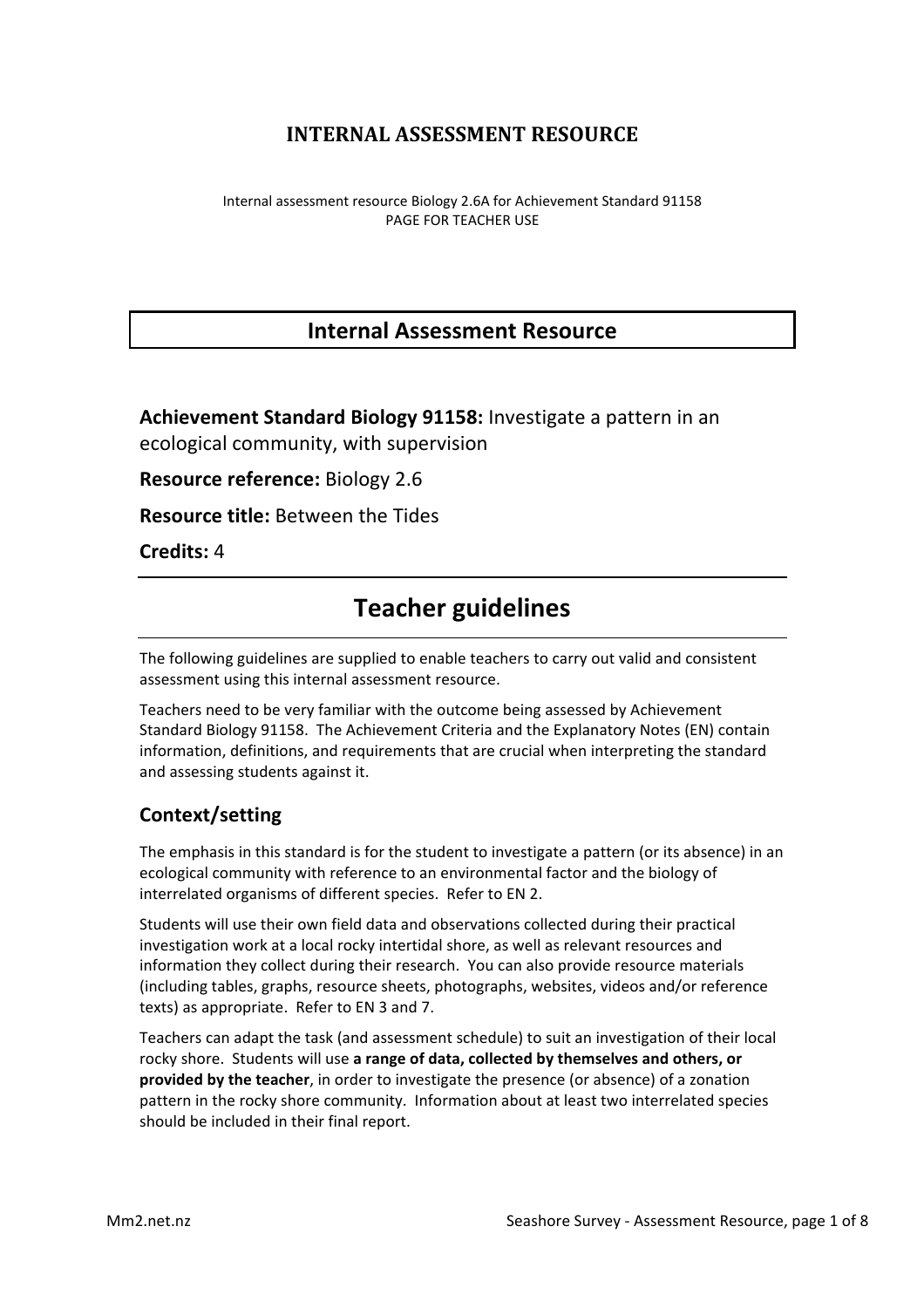# **INTERNAL ASSESSMENT RESOURCE**

Internal assessment resource Biology 2.6A for Achievement Standard 91158 PAGE FOR TEACHER USE

# **Internal Assessment Resource**

**Achievement Standard Biology 91158:** Investigate a pattern in an ecological community, with supervision

**Resource reference:** Biology 2.6

**Resource title:** Between the Tides

**Credits:** 4

# **Teacher guidelines**

The following guidelines are supplied to enable teachers to carry out valid and consistent assessment using this internal assessment resource.

Teachers need to be very familiar with the outcome being assessed by Achievement Standard Biology 91158. The Achievement Criteria and the Explanatory Notes (EN) contain information, definitions, and requirements that are crucial when interpreting the standard and assessing students against it.

### **Context/setting**

The emphasis in this standard is for the student to investigate a pattern (or its absence) in an ecological community with reference to an environmental factor and the biology of interrelated organisms of different species. Refer to EN 2.

Students will use their own field data and observations collected during their practical investigation work at a local rocky intertidal shore, as well as relevant resources and information they collect during their research. You can also provide resource materials (including tables, graphs, resource sheets, photographs, websites, videos and/or reference texts) as appropriate. Refer to EN 3 and 7.

Teachers can adapt the task (and assessment schedule) to suit an investigation of their local rocky shore. Students will use a range of data, collected by themselves and others, or **provided by the teacher**, in order to investigate the presence (or absence) of a zonation pattern in the rocky shore community. Information about at least two interrelated species should be included in their final report.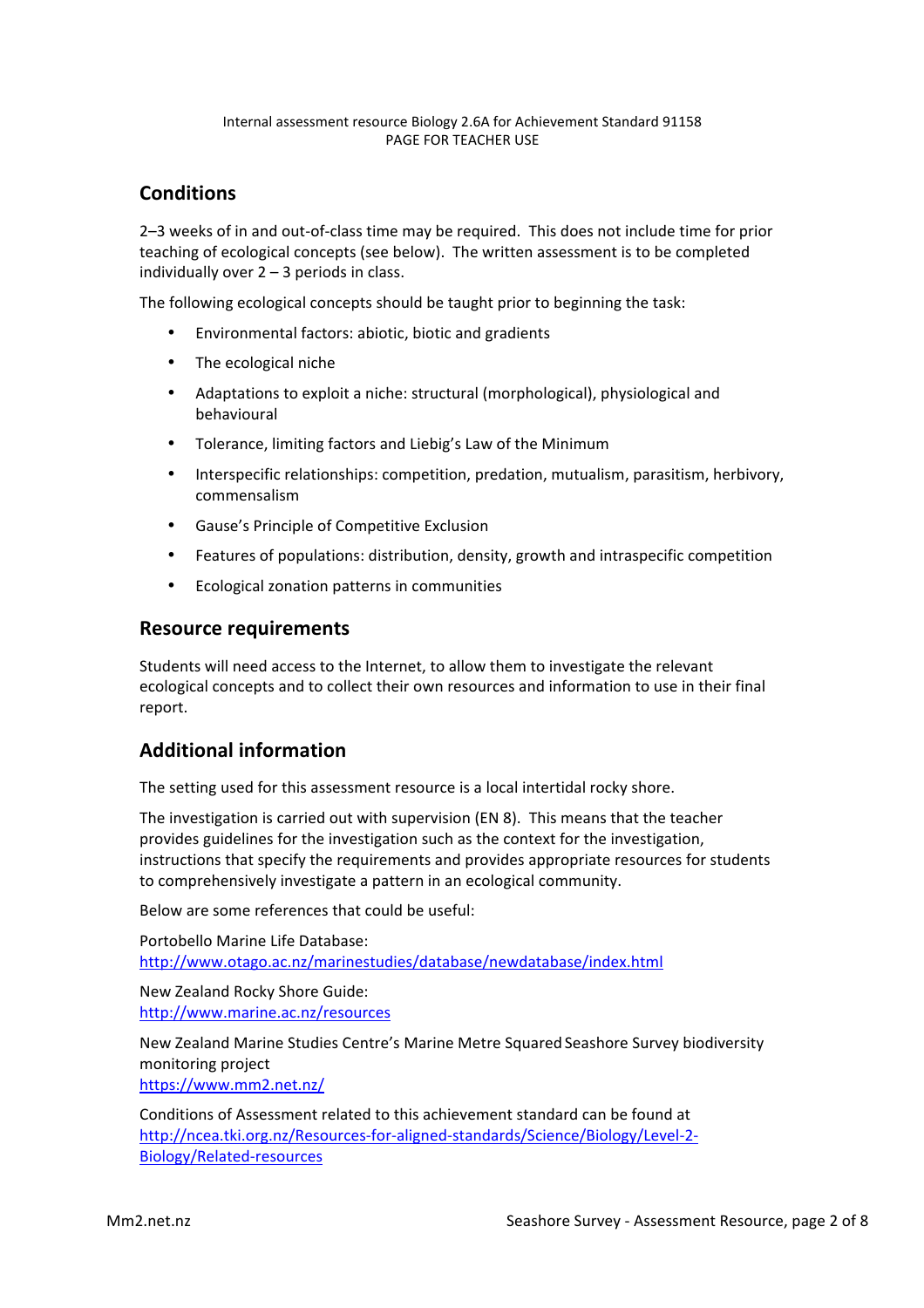#### Internal assessment resource Biology 2.6A for Achievement Standard 91158 PAGE FOR TEACHER USE

## **Conditions**

2–3 weeks of in and out-of-class time may be required. This does not include time for prior teaching of ecological concepts (see below). The written assessment is to be completed individually over  $2 - 3$  periods in class.

The following ecological concepts should be taught prior to beginning the task:

- Environmental factors: abiotic, biotic and gradients
- The ecological niche
- Adaptations to exploit a niche: structural (morphological), physiological and behavioural
- Tolerance, limiting factors and Liebig's Law of the Minimum
- Interspecific relationships: competition, predation, mutualism, parasitism, herbivory, commensalism
- Gause's Principle of Competitive Exclusion
- Features of populations: distribution, density, growth and intraspecific competition
- Ecological zonation patterns in communities

#### **Resource requirements**

Students will need access to the Internet, to allow them to investigate the relevant ecological concepts and to collect their own resources and information to use in their final report.

### **Additional information**

The setting used for this assessment resource is a local intertidal rocky shore.

The investigation is carried out with supervision (EN 8). This means that the teacher provides guidelines for the investigation such as the context for the investigation, instructions that specify the requirements and provides appropriate resources for students to comprehensively investigate a pattern in an ecological community.

Below are some references that could be useful:

Portobello Marine Life Database: http://www.otago.ac.nz/marinestudies/database/newdatabase/index.html

New Zealand Rocky Shore Guide: http://www.marine.ac.nz/resources

New Zealand Marine Studies Centre's Marine Metre Squared Seashore Survey biodiversity monitoring project https://www.mm2.net.nz/

Conditions of Assessment related to this achievement standard can be found at http://ncea.tki.org.nz/Resources-for-aligned-standards/Science/Biology/Level-2- Biology/Related-resources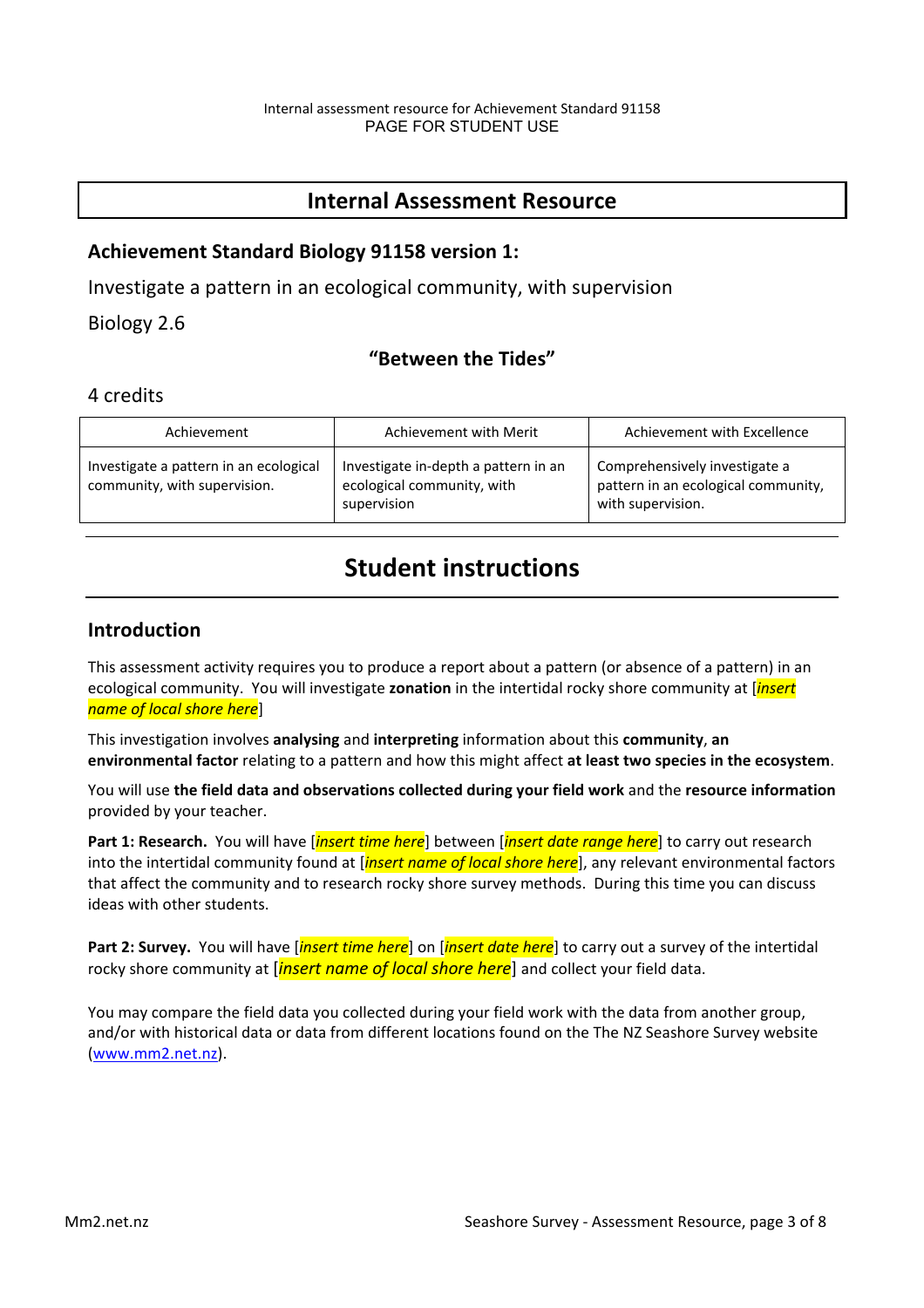# **Internal Assessment Resource**

#### **Achievement Standard Biology 91158 version 1:**

Investigate a pattern in an ecological community, with supervision

Biology 2.6

### **"Between the Tides"**

#### 4 credits

| Achievement                                                            | Achievement with Merit                                                            | Achievement with Excellence                                                               |
|------------------------------------------------------------------------|-----------------------------------------------------------------------------------|-------------------------------------------------------------------------------------------|
| Investigate a pattern in an ecological<br>community, with supervision. | Investigate in-depth a pattern in an<br>ecological community, with<br>supervision | Comprehensively investigate a<br>pattern in an ecological community,<br>with supervision. |

# **Student instructions**

#### **Introduction**

This assessment activity requires you to produce a report about a pattern (or absence of a pattern) in an ecological community. You will investigate **zonation** in the intertidal rocky shore community at [*insert name of local shore here*]

This investigation involves **analysing** and **interpreting** information about this **community**, an **environmental factor** relating to a pattern and how this might affect at least two species in the ecosystem.

You will use the field data and observations collected during your field work and the resource information provided by your teacher.

**Part 1: Research.** You will have *[insert time here*] between *[insert date range here*] to carry out research into the intertidal community found at [*insert name of local shore here*], any relevant environmental factors that affect the community and to research rocky shore survey methods. During this time you can discuss ideas with other students.

**Part 2: Survey.** You will have [*insert time here*] on [*insert date here*] to carry out a survey of the intertidal rocky shore community at *[insert name of local shore here*] and collect your field data.

You may compare the field data you collected during your field work with the data from another group, and/or with historical data or data from different locations found on the The NZ Seashore Survey website (www.mm2.net.nz).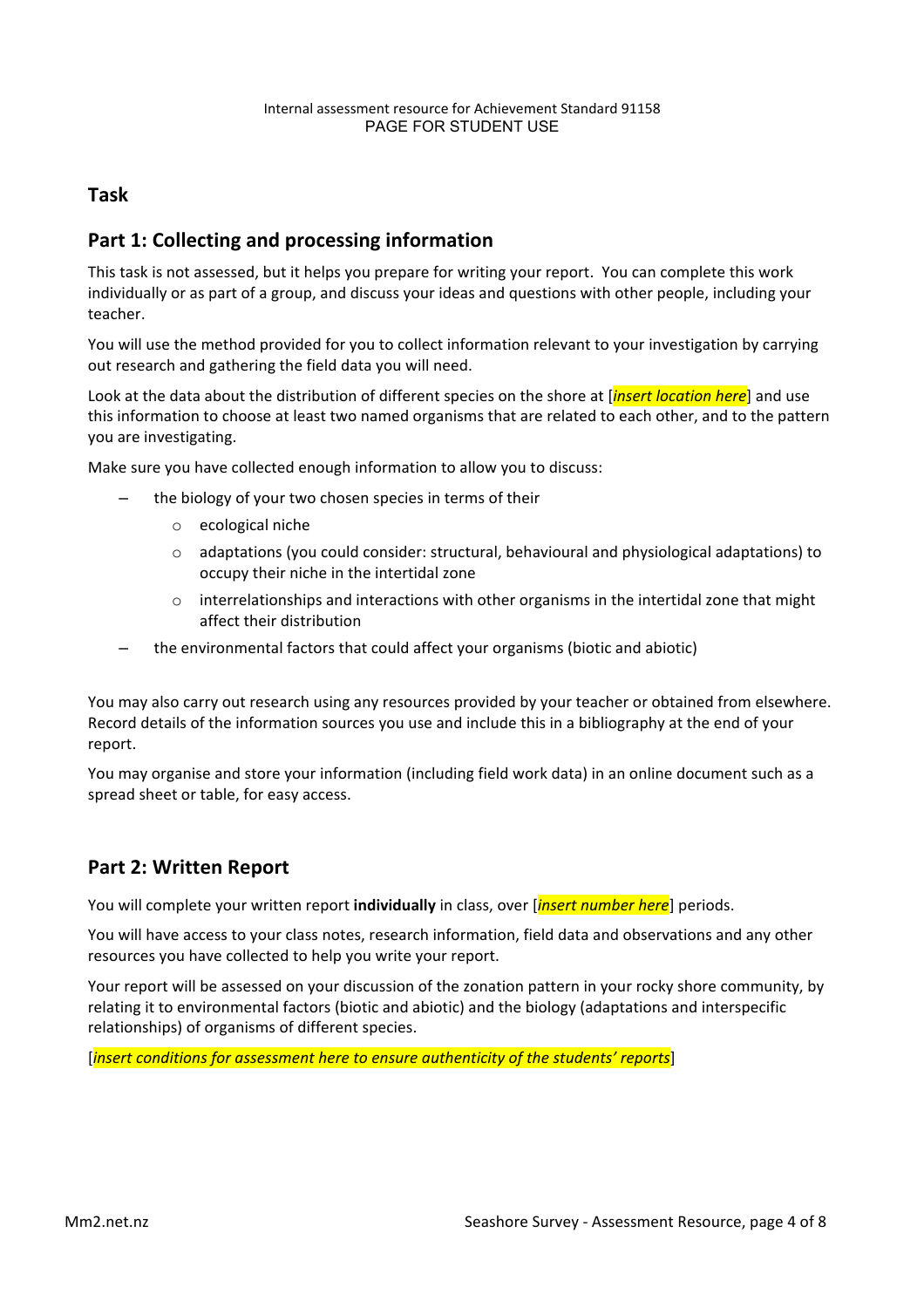### **Task**

### **Part 1: Collecting and processing information**

This task is not assessed, but it helps you prepare for writing your report. You can complete this work individually or as part of a group, and discuss your ideas and questions with other people, including your teacher. 

You will use the method provided for you to collect information relevant to your investigation by carrying out research and gathering the field data you will need.

Look at the data about the distribution of different species on the shore at [*insert location here*] and use this information to choose at least two named organisms that are related to each other, and to the pattern vou are investigating.

Make sure you have collected enough information to allow you to discuss:

- the biology of your two chosen species in terms of their
	- o ecological niche
	- $\circ$  adaptations (you could consider: structural, behavioural and physiological adaptations) to occupy their niche in the intertidal zone
	- $\circ$  interrelationships and interactions with other organisms in the intertidal zone that might affect their distribution
	- the environmental factors that could affect your organisms (biotic and abiotic)

You may also carry out research using any resources provided by your teacher or obtained from elsewhere. Record details of the information sources you use and include this in a bibliography at the end of your report. 

You may organise and store your information (including field work data) in an online document such as a spread sheet or table, for easy access.

### **Part 2: Written Report**

You will complete your written report *individually* in class, over [*insert number here*] periods.

You will have access to your class notes, research information, field data and observations and any other resources you have collected to help you write your report.

Your report will be assessed on your discussion of the zonation pattern in your rocky shore community, by relating it to environmental factors (biotic and abiotic) and the biology (adaptations and interspecific relationships) of organisms of different species.

[*insert conditions for assessment here to ensure authenticity of the students' reports*]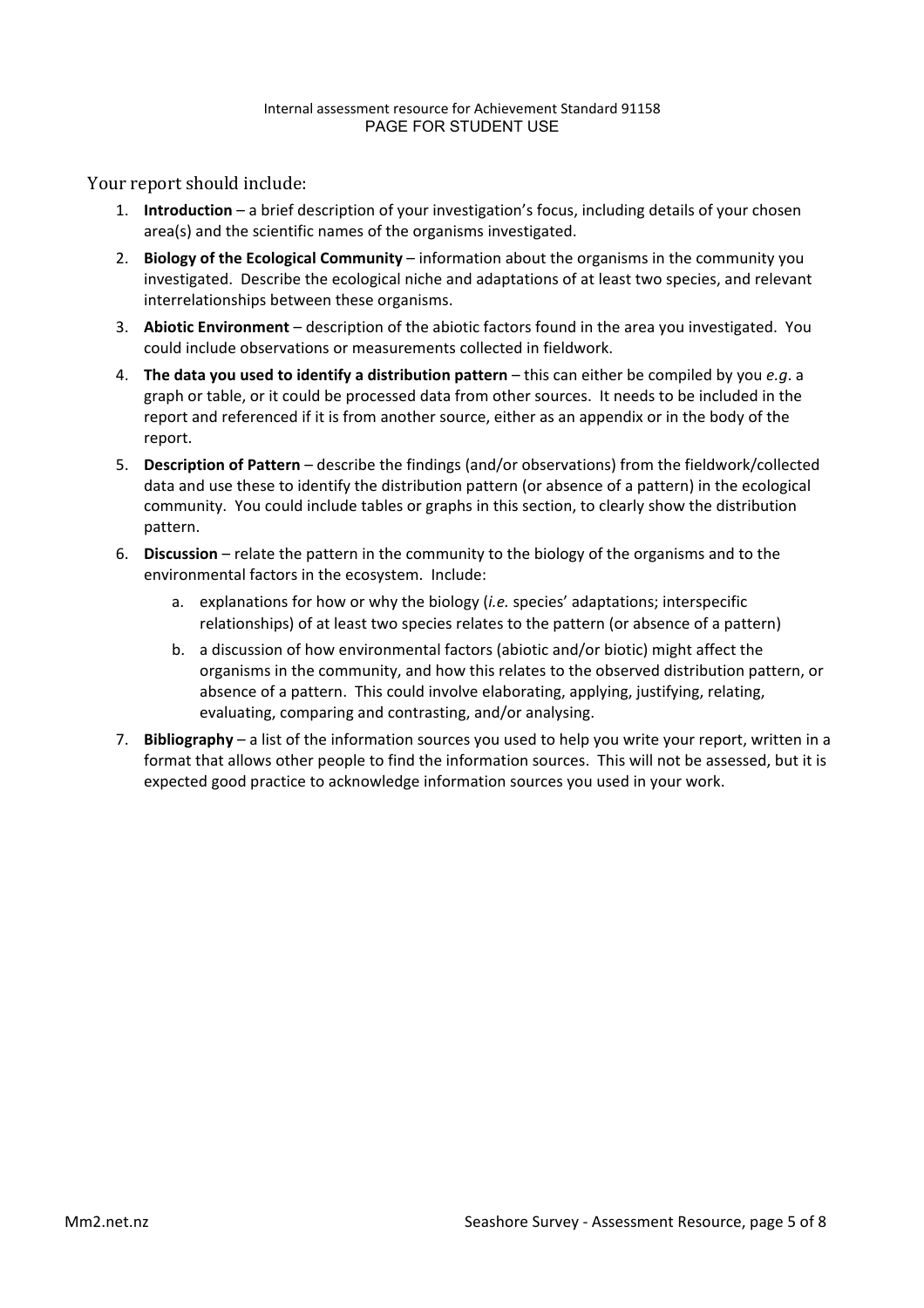Your report should include:

- 1. **Introduction** a brief description of your investigation's focus, including details of your chosen area(s) and the scientific names of the organisms investigated.
- 2. **Biology of the Ecological Community** information about the organisms in the community you investigated. Describe the ecological niche and adaptations of at least two species, and relevant interrelationships between these organisms.
- 3. **Abiotic Environment** description of the abiotic factors found in the area you investigated. You could include observations or measurements collected in fieldwork.
- 4. **The data you used to identify a distribution pattern** this can either be compiled by you *e.g.* a graph or table, or it could be processed data from other sources. It needs to be included in the report and referenced if it is from another source, either as an appendix or in the body of the report.
- 5. **Description of Pattern** describe the findings (and/or observations) from the fieldwork/collected data and use these to identify the distribution pattern (or absence of a pattern) in the ecological community. You could include tables or graphs in this section, to clearly show the distribution pattern.
- 6. Discussion relate the pattern in the community to the biology of the organisms and to the environmental factors in the ecosystem. Include:
	- a. explanations for how or why the biology (*i.e.* species' adaptations; interspecific relationships) of at least two species relates to the pattern (or absence of a pattern)
	- b. a discussion of how environmental factors (abiotic and/or biotic) might affect the organisms in the community, and how this relates to the observed distribution pattern, or absence of a pattern. This could involve elaborating, applying, justifying, relating, evaluating, comparing and contrasting, and/or analysing.
- 7. **Bibliography** a list of the information sources you used to help you write your report, written in a format that allows other people to find the information sources. This will not be assessed, but it is expected good practice to acknowledge information sources you used in your work.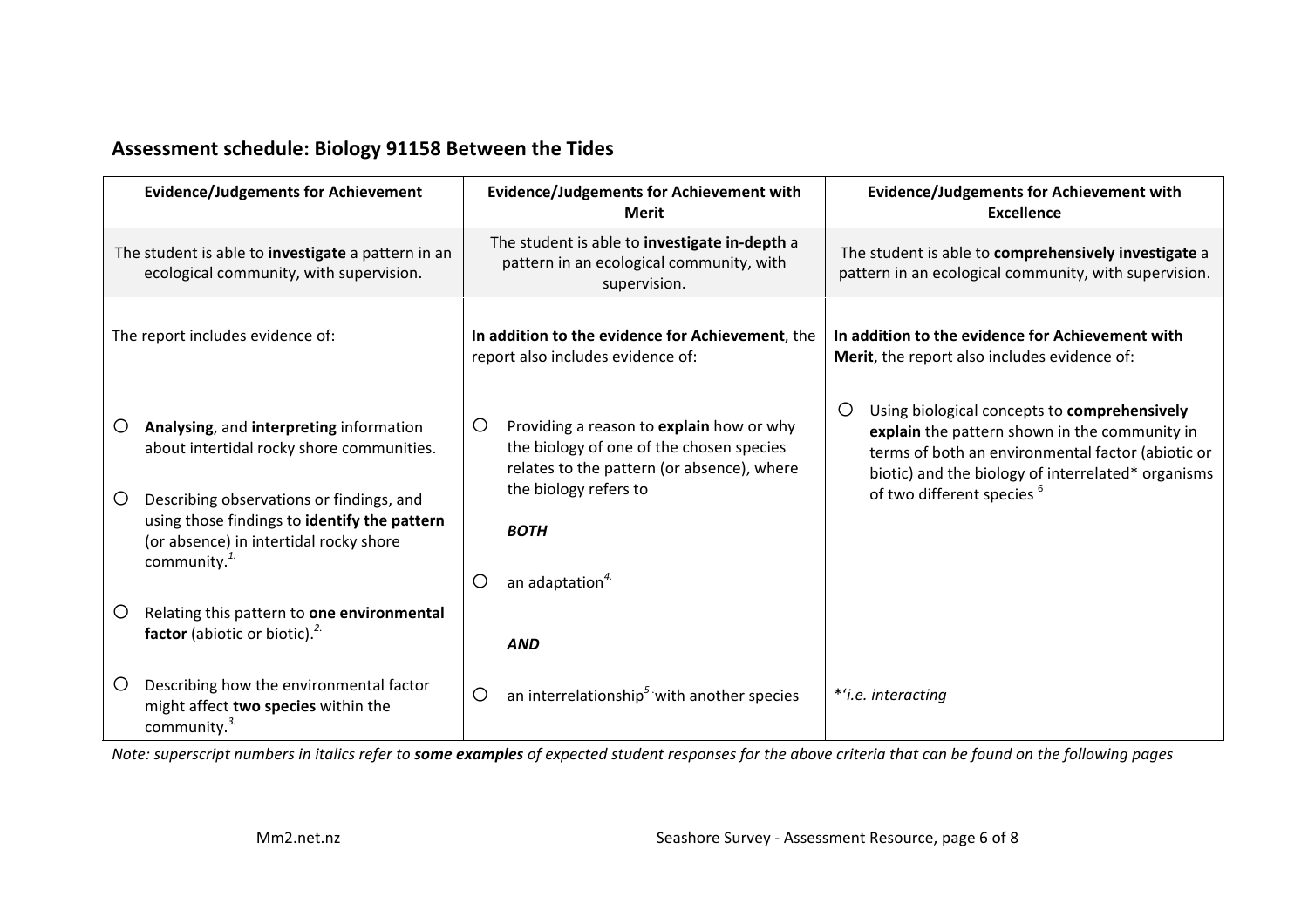# Assessment schedule: Biology 91158 Between the Tides

| <b>Evidence/Judgements for Achievement</b>                                                                                                                                                                                                                         | <b>Evidence/Judgements for Achievement with</b><br><b>Merit</b>                                                                                                                                                           | <b>Evidence/Judgements for Achievement with</b><br><b>Excellence</b>                                                                                                                                                                                   |
|--------------------------------------------------------------------------------------------------------------------------------------------------------------------------------------------------------------------------------------------------------------------|---------------------------------------------------------------------------------------------------------------------------------------------------------------------------------------------------------------------------|--------------------------------------------------------------------------------------------------------------------------------------------------------------------------------------------------------------------------------------------------------|
| The student is able to investigate a pattern in an<br>ecological community, with supervision.                                                                                                                                                                      | The student is able to investigate in-depth a<br>pattern in an ecological community, with<br>supervision.                                                                                                                 | The student is able to comprehensively investigate a<br>pattern in an ecological community, with supervision.                                                                                                                                          |
| The report includes evidence of:                                                                                                                                                                                                                                   | In addition to the evidence for Achievement, the<br>report also includes evidence of:                                                                                                                                     | In addition to the evidence for Achievement with<br>Merit, the report also includes evidence of:                                                                                                                                                       |
| Analysing, and interpreting information<br>$\circ$<br>about intertidal rocky shore communities.<br>Describing observations or findings, and<br>$\circ$<br>using those findings to identify the pattern<br>(or absence) in intertidal rocky shore<br>community. $1$ | Providing a reason to explain how or why<br>$\circ$<br>the biology of one of the chosen species<br>relates to the pattern (or absence), where<br>the biology refers to<br><b>BOTH</b><br>an adaptation <sup>4.</sup><br>O | Using biological concepts to comprehensively<br>Ő<br>explain the pattern shown in the community in<br>terms of both an environmental factor (abiotic or<br>biotic) and the biology of interrelated* organisms<br>of two different species <sup>6</sup> |
| Relating this pattern to one environmental<br>Ő<br>factor (abiotic or biotic). <sup>2.</sup>                                                                                                                                                                       | <b>AND</b>                                                                                                                                                                                                                |                                                                                                                                                                                                                                                        |
| Describing how the environmental factor<br>$\circ$<br>might affect two species within the<br>community. <sup>3.</sup>                                                                                                                                              | an interrelationship <sup>5</sup> with another species<br>O                                                                                                                                                               | *'i.e. interacting                                                                                                                                                                                                                                     |

*Note:* superscript numbers in italics refer to **some examples** of expected student responses for the above criteria that can be found on the following pages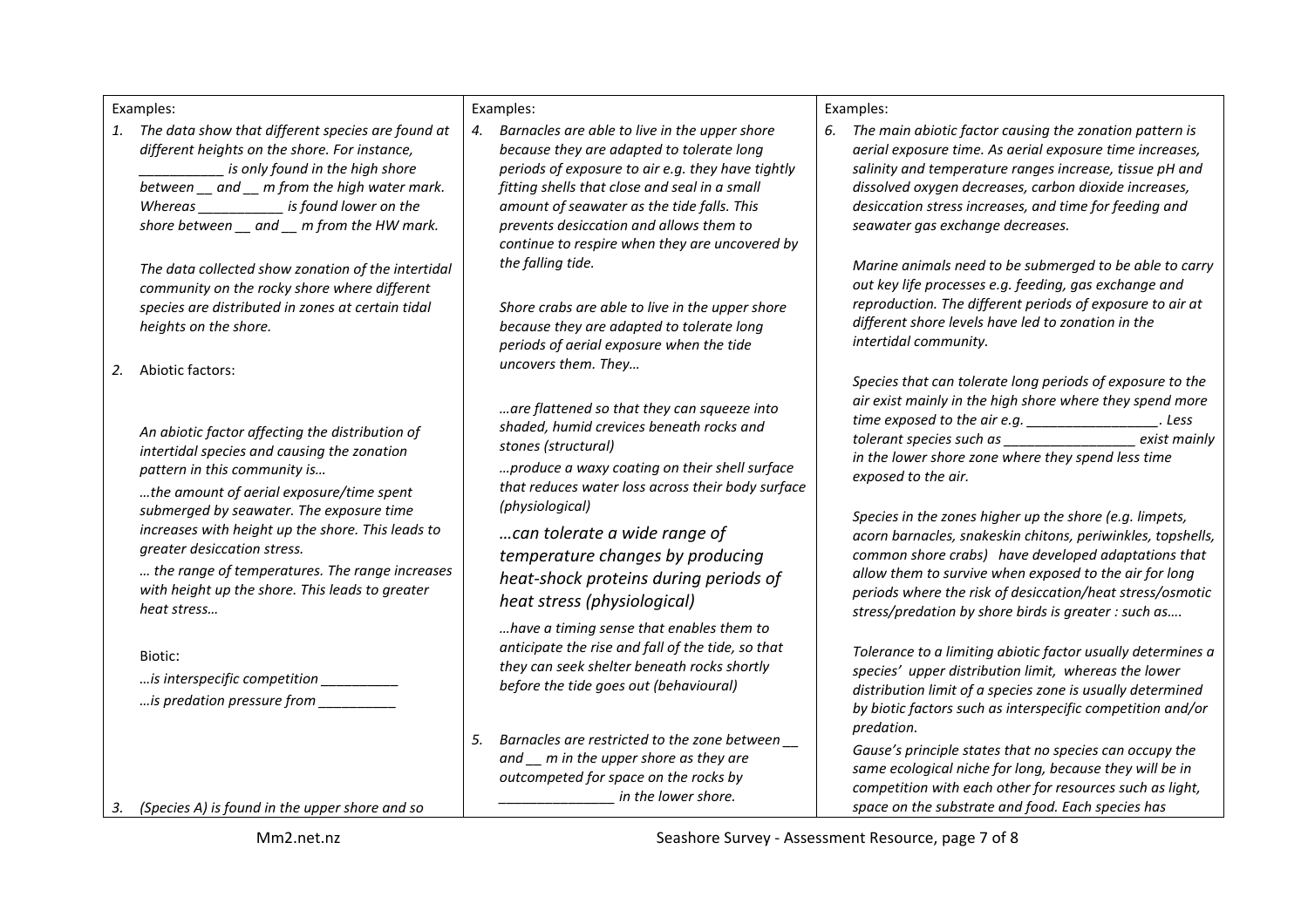Examples:

1. The data show that different species are found at different heights on the shore. For instance, *is* only found in the high shore *between* and m from the high water mark. Whereas **the is found lower** on the shore between and m from the HW mark.

The data collected show zonation of the intertidal *community* on the rocky shore where different species are distributed in zones at certain tidal heights on the shore.

2. Abiotic factors:

*An abiotic factor affecting the distribution of intertidal species and causing the zonation pattern in this community is...* 

*…the amount of aerial exposure/time spent*  submerged by seawater. The exposure time *increases* with height up the shore. This leads to *greater desiccation stress.*

*… the range of temperatures. The range increases*  with height *up* the shore. This leads to greater *heat stress…*

Biotic:

- *…is interspecific competition \_\_\_\_\_\_\_\_\_\_*
- *…is predation pressure from \_\_\_\_\_\_\_\_\_\_*

Examples:

4. Barnacles are able to live in the upper shore *because they are adapted to tolerate long periods of exposure to air e.g. they have tightly* fitting shells that close and seal in a small amount of seawater as the tide falls. This *prevents desiccation and allows them to continue to respire when they are uncovered by the falling tide.*

Shore crabs are able to live in the upper shore *because they are adapted to tolerate long periods of aerial exposure when the tide uncovers them. They…*

*…are flattened so that they can squeeze into shaded, humid crevices beneath rocks and stones (structural)*

*…produce a waxy coating on their shell surface*  that reduces water loss across their body surface *(physiological)*

*…can tolerate a wide range of temperature changes by producing heat-shock proteins during periods of heat stress (physiological)*

*…have a timing sense that enables them to*  anticipate the rise and fall of the tide, so that *they can seek shelter beneath rocks shortly before the tide goes out (behavioural)* 

5. Barnacles are restricted to the zone between and m in the upper shore as they are *outcompeted for space on the rocks by in the lower shore.* 

Examples:

6. The main abiotic factor causing the zonation pattern is *aerial exposure time. As aerial exposure time increases,* salinity and temperature ranges increase, tissue pH and *dissolved oxygen decreases, carbon dioxide increases,*  desiccation stress increases, and time for feeding and *seawater gas exchange decreases.*

*Marine animals need to be submerged to be able to carry* out key life processes e.g. feeding, gas exchange and *reproduction.* The different periods of exposure to air at different shore levels have led to zonation in the *intertidal community.* 

Species that can tolerate long periods of exposure to the air exist mainly in the high shore where they spend more *time* exposed to the air e.g. \_\_\_\_\_\_\_\_\_\_\_\_\_\_\_\_\_\_\_. Less *tolerant species such as*  $\qquad \qquad$  exist mainly *in the lower shore zone where they spend less time exposed to the air.*

*Species in the zones higher up the shore (e.g. limpets, acorn barnacles, snakeskin chitons, periwinkles, topshells, common shore crabs)* have developed adaptations that *allow them to survive when exposed to the air for long periods where the risk of desiccation/heat stress/osmotic*  stress/predation by shore birds is greater : such as....

*Tolerance to a limiting abiotic factor usually determines a* species' upper distribution limit, whereas the lower distribution limit of a species zone is usually determined *by biotic factors such as interspecific competition and/or predation.*

Gause's principle states that no species can occupy the same ecological niche for long, because they will be in *competition with each other for resources such as light,* space on the substrate and food. Each species has

3. *(Species A)* is found in the upper shore and so

Mm2.net.nz and the season of the Seashore Survey - Assessment Resource, page 7 of 8